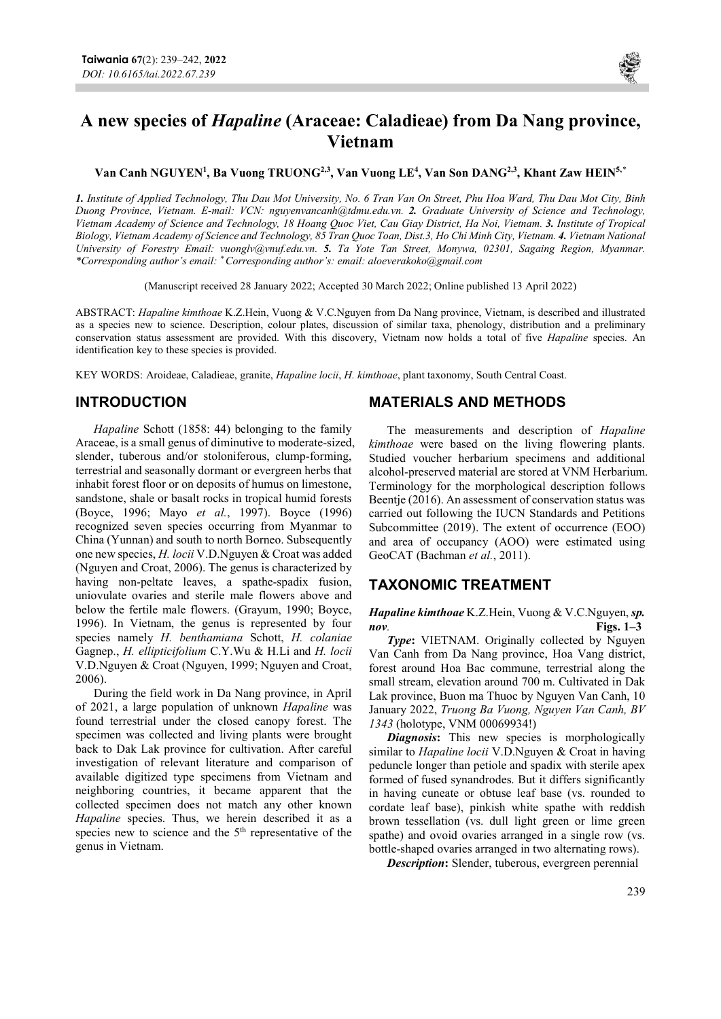

# A new species of Hapaline (Araceae: Caladieae) from Da Nang province, Vietnam

Van Canh NGUYEN<sup>1</sup>, Ba Vuong TRUONG<sup>2,3</sup>, Van Vuong LE<sup>4</sup>, Van Son DANG<sup>2,3</sup>, Khant Zaw HEIN<sup>5,\*</sup>

1. Institute of Applied Technology, Thu Dau Mot University, No. 6 Tran Van On Street, Phu Hoa Ward, Thu Dau Mot City, Binh Duong Province, Vietnam. E-mail: VCN: nguyenvancanh@tdmu.edu.vn. 2. Graduate University of Science and Technology, Vietnam Academy of Science and Technology, 18 Hoang Quoc Viet, Cau Giay District, Ha Noi, Vietnam. 3. Institute of Tropical Biology, Vietnam Academy of Science and Technology, 85 Tran Quoc Toan, Dist.3, Ho Chi Minh City, Vietnam. 4. Vietnam National University of Forestry Email: vuonglv@ynuf.edu.vn. 5. Ta Yote Tan Street, Monywa, 02301, Sagaing Region, Myanmar. \*Corresponding author's email: \* Corresponding author's: email: aloeverakoko@gmail.com

(Manuscript received 28 January 2022; Accepted 30 March 2022; Online published 13 April 2022)

ABSTRACT: Hapaline kimthoae K.Z.Hein, Vuong & V.C.Nguyen from Da Nang province, Vietnam, is described and illustrated as a species new to science. Description, colour plates, discussion of similar taxa, phenology, distribution and a preliminary conservation status assessment are provided. With this discovery, Vietnam now holds a total of five Hapaline species. An identification key to these species is provided.

KEY WORDS: Aroideae, Caladieae, granite, Hapaline locii, H. kimthoae, plant taxonomy, South Central Coast.

# INTRODUCTION

Hapaline Schott (1858: 44) belonging to the family Araceae, is a small genus of diminutive to moderate-sized, slender, tuberous and/or stoloniferous, clump-forming, terrestrial and seasonally dormant or evergreen herbs that inhabit forest floor or on deposits of humus on limestone, sandstone, shale or basalt rocks in tropical humid forests (Boyce, 1996; Mayo et al., 1997). Boyce (1996) recognized seven species occurring from Myanmar to China (Yunnan) and south to north Borneo. Subsequently one new species, H. locii V.D.Nguyen & Croat was added (Nguyen and Croat, 2006). The genus is characterized by having non-peltate leaves, a spathe-spadix fusion, uniovulate ovaries and sterile male flowers above and below the fertile male flowers. (Grayum, 1990; Boyce, 1996). In Vietnam, the genus is represented by four species namely H. benthamiana Schott, H. colaniae Gagnep., H. ellipticifolium C.Y.Wu & H.Li and H. locii V.D.Nguyen & Croat (Nguyen, 1999; Nguyen and Croat, 2006).

During the field work in Da Nang province, in April of 2021, a large population of unknown Hapaline was found terrestrial under the closed canopy forest. The specimen was collected and living plants were brought back to Dak Lak province for cultivation. After careful investigation of relevant literature and comparison of available digitized type specimens from Vietnam and neighboring countries, it became apparent that the collected specimen does not match any other known Hapaline species. Thus, we herein described it as a species new to science and the  $5<sup>th</sup>$  representative of the genus in Vietnam.

# MATERIALS AND METHODS

The measurements and description of Hapaline kimthoae were based on the living flowering plants. Studied voucher herbarium specimens and additional alcohol-preserved material are stored at VNM Herbarium. Terminology for the morphological description follows Beentie (2016). An assessment of conservation status was carried out following the IUCN Standards and Petitions Subcommittee (2019). The extent of occurrence (EOO) and area of occupancy (AOO) were estimated using GeoCAT (Bachman et al., 2011).

### TAXONOMIC TREATMENT

Hapaline kimthoae K.Z.Hein, Vuong & V.C.Nguyen, sp.  $\frac{1}{3}$  Figs. 1–3

Type: VIETNAM. Originally collected by Nguyen Van Canh from Da Nang province, Hoa Vang district, forest around Hoa Bac commune, terrestrial along the small stream, elevation around 700 m. Cultivated in Dak Lak province, Buon ma Thuoc by Nguyen Van Canh, 10 January 2022, Truong Ba Vuong, Nguyen Van Canh, BV 1343 (holotype, VNM 00069934!)

**Diagnosis:** This new species is morphologically similar to *Hapaline locii* V.D.Nguyen & Croat in having peduncle longer than petiole and spadix with sterile apex formed of fused synandrodes. But it differs significantly in having cuneate or obtuse leaf base (vs. rounded to cordate leaf base), pinkish white spathe with reddish brown tessellation (vs. dull light green or lime green spathe) and ovoid ovaries arranged in a single row (vs. bottle-shaped ovaries arranged in two alternating rows).

Description: Slender, tuberous, evergreen perennial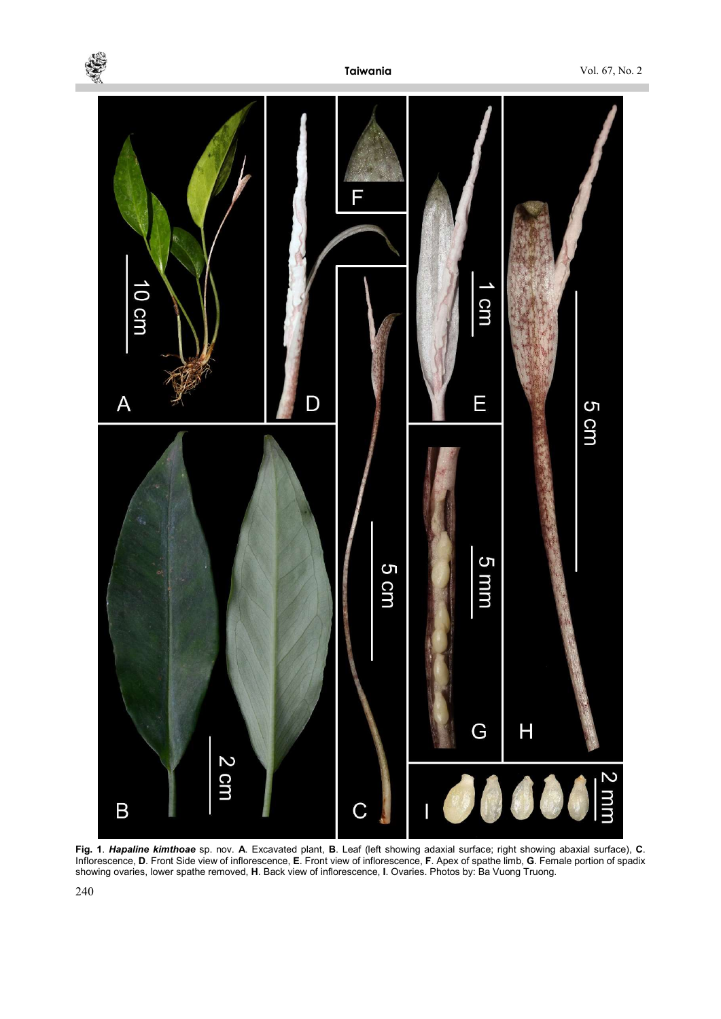

Fig. 1. Hapaline kimthoae sp. nov. A. Excavated plant, B. Leaf (left showing adaxial surface; right showing abaxial surface), C. Inflorescence, D. Front Side view of inflorescence, E. Front view of inflorescence, F. Apex of spathe limb, G. Female portion of spadix showing ovaries, lower spathe removed, H. Back view of inflorescence, I. Ovaries. Photos by: Ba Vuong Truong.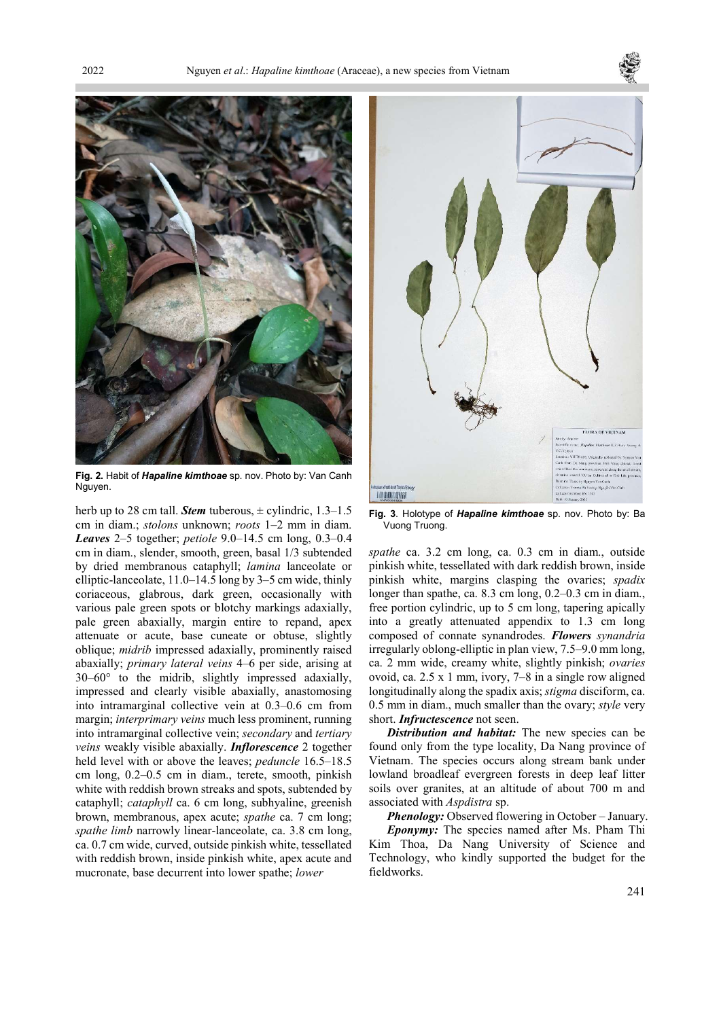



Fig. 2. Habit of *Hapaline kimthoae* sp. nov. Photo by: Van Canh Nauven.

herb up to 28 cm tall. **Stem** tuberous,  $\pm$  cylindric, 1.3–1.5 cm in diam.; stolons unknown; roots 1–2 mm in diam. Leaves 2–5 together; petiole 9.0–14.5 cm long, 0.3–0.4 cm in diam., slender, smooth, green, basal 1/3 subtended by dried membranous cataphyll; lamina lanceolate or elliptic-lanceolate, 11.0–14.5 long by 3–5 cm wide, thinly coriaceous, glabrous, dark green, occasionally with various pale green spots or blotchy markings adaxially, pale green abaxially, margin entire to repand, apex attenuate or acute, base cuneate or obtuse, slightly oblique; midrib impressed adaxially, prominently raised abaxially; primary lateral veins 4–6 per side, arising at 30–60° to the midrib, slightly impressed adaxially, impressed and clearly visible abaxially, anastomosing into intramarginal collective vein at 0.3–0.6 cm from margin; interprimary veins much less prominent, running into intramarginal collective vein; secondary and tertiary veins weakly visible abaxially. Inflorescence 2 together held level with or above the leaves; *peduncle* 16.5–18.5 cm long, 0.2–0.5 cm in diam., terete, smooth, pinkish white with reddish brown streaks and spots, subtended by cataphyll; cataphyll ca. 6 cm long, subhyaline, greenish brown, membranous, apex acute; spathe ca. 7 cm long; spathe limb narrowly linear-lanceolate, ca. 3.8 cm long, ca. 0.7 cm wide, curved, outside pinkish white, tessellated with reddish brown, inside pinkish white, apex acute and mucronate, base decurrent into lower spathe; lower



Fig. 3. Holotype of Hapaline kimthoae sp. nov. Photo by: Ba Vuong Truong.

spathe ca. 3.2 cm long, ca. 0.3 cm in diam., outside pinkish white, tessellated with dark reddish brown, inside pinkish white, margins clasping the ovaries; spadix longer than spathe, ca. 8.3 cm long, 0.2–0.3 cm in diam., free portion cylindric, up to 5 cm long, tapering apically into a greatly attenuated appendix to 1.3 cm long composed of connate synandrodes. Flowers synandria irregularly oblong-elliptic in plan view, 7.5–9.0 mm long, ca. 2 mm wide, creamy white, slightly pinkish; ovaries ovoid, ca. 2.5 x 1 mm, ivory, 7–8 in a single row aligned longitudinally along the spadix axis; *stigma* disciform, ca. 0.5 mm in diam., much smaller than the ovary; style very short. Infructescence not seen.

Distribution and habitat: The new species can be found only from the type locality, Da Nang province of Vietnam. The species occurs along stream bank under lowland broadleaf evergreen forests in deep leaf litter soils over granites, at an altitude of about 700 m and associated with Aspdistra sp.

Phenology: Observed flowering in October – January. Eponymy: The species named after Ms. Pham Thi Kim Thoa, Da Nang University of Science and Technology, who kindly supported the budget for the

fieldworks.